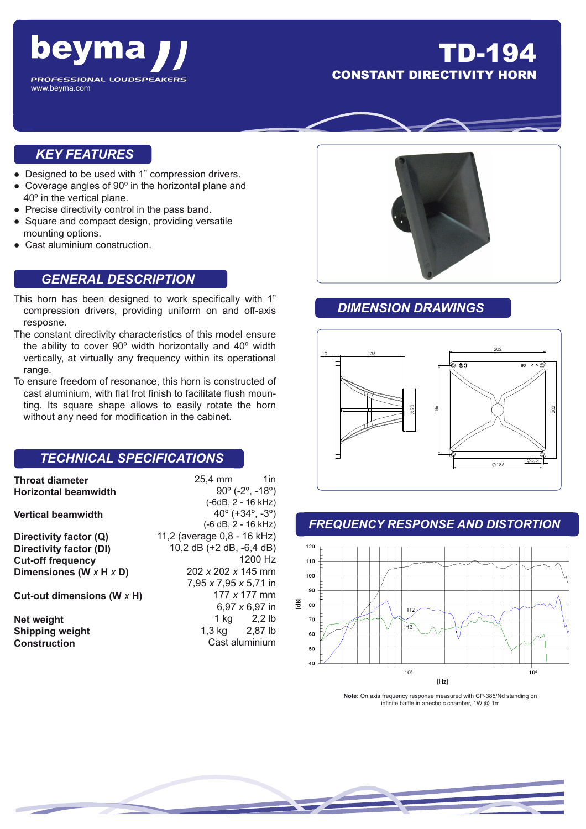

## TD-194 **CONSTANT DIRECTIVITY H**

## *KEY FEATURES*

- Designed to be used with 1" compression drivers.
- Coverage angles of 90º in the horizontal plane and 40º in the vertical plane.
- Precise directivity control in the pass band.
- Square and compact design, providing versatile mounting options.
- Cast aluminium construction.

### *GENERAL DESCRIPTION*

- This horn has been designed to work specifically with 1" compression drivers, providing uniform on and off-axis resposne.
- The constant directivity characteristics of this model ensure the ability to cover 90º width horizontally and 40º width vertically, at virtually any frequency within its operational range.
- To ensure freedom of resonance, this horn is constructed of cast aluminium, with flat frot finish to facilitate flush mounting. Its square shape allows to easily rotate the horn without any need for modification in the cabinet.

## *TECHNICAL SPECIFICATIONS*

**Throat diameter Horizontal beamwidth**

#### **Vertical beamwidth**

**Directivity factor (Q) Directivity factor (Dl) Cut-off frequency Dimensiones (W** *x* **H** *x* **D)**

**Cut-out dimensions (W** *x* **H)**

**Net weight Shipping weight Construction**

90º (-2º, -18º) (-6dB, 2 - 16 kHz) 40º (+34º, -3º) (-6 dB, 2 - 16 kHz) 11,2 (average 0,8 - 16 kHz) 10,2 dB (+2 dB, -6,4 dB) 1200 Hz 202 *x* 202 *x* 145 mm 7,95 *x* 7,95 *x* 5,71 in 177 *x* 177 mm 6,97 *x* 6,97 in 1 kg 2,2 lb 1,3 kg 2,87 lb Cast aluminium

25,4 mm 1in



## *DIMENSION DRAWINGS*



### *FREQUENCY RESPONSE AND DISTORTION*



**Note:** On axis frequency response measured with CP-385/Nd standing on infinite baffle in anechoic chamber, 1W @ 1m